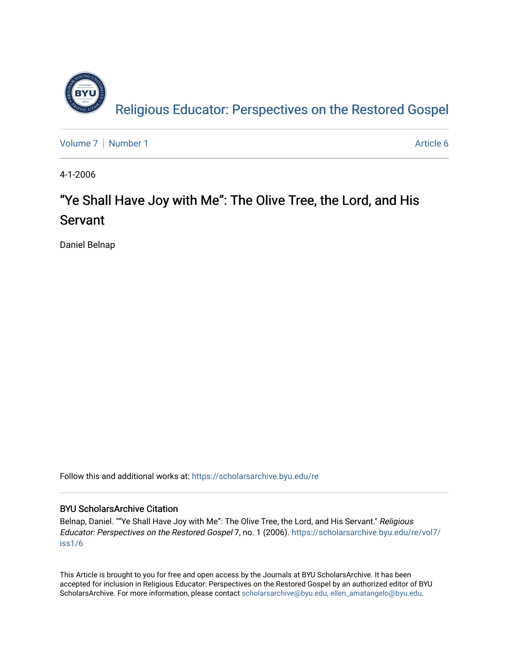

[Volume 7](https://scholarsarchive.byu.edu/re/vol7) | [Number 1](https://scholarsarchive.byu.edu/re/vol7/iss1) Article 6

4-1-2006

## "Ye Shall Have Joy with Me": The Olive Tree, the Lord, and His Servant

Daniel Belnap

Follow this and additional works at: [https://scholarsarchive.byu.edu/re](https://scholarsarchive.byu.edu/re?utm_source=scholarsarchive.byu.edu%2Fre%2Fvol7%2Fiss1%2F6&utm_medium=PDF&utm_campaign=PDFCoverPages)

### BYU ScholarsArchive Citation

Belnap, Daniel. ""Ye Shall Have Joy with Me": The Olive Tree, the Lord, and His Servant." Religious Educator: Perspectives on the Restored Gospel 7, no. 1 (2006). [https://scholarsarchive.byu.edu/re/vol7/](https://scholarsarchive.byu.edu/re/vol7/iss1/6?utm_source=scholarsarchive.byu.edu%2Fre%2Fvol7%2Fiss1%2F6&utm_medium=PDF&utm_campaign=PDFCoverPages) [iss1/6](https://scholarsarchive.byu.edu/re/vol7/iss1/6?utm_source=scholarsarchive.byu.edu%2Fre%2Fvol7%2Fiss1%2F6&utm_medium=PDF&utm_campaign=PDFCoverPages)

This Article is brought to you for free and open access by the Journals at BYU ScholarsArchive. It has been accepted for inclusion in Religious Educator: Perspectives on the Restored Gospel by an authorized editor of BYU ScholarsArchive. For more information, please contact [scholarsarchive@byu.edu, ellen\\_amatangelo@byu.edu.](mailto:scholarsarchive@byu.edu,%20ellen_amatangelo@byu.edu)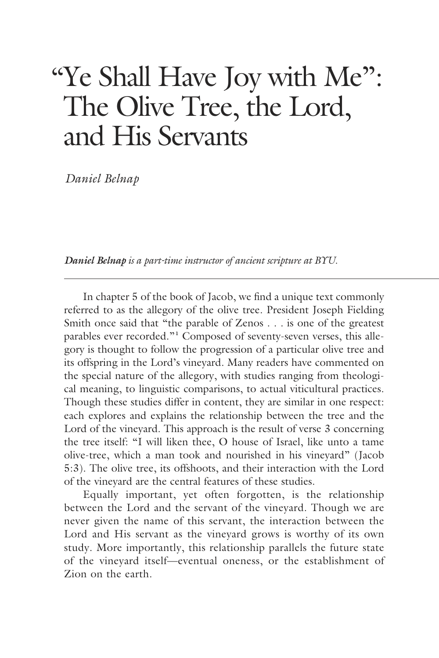# "Ye Shall Have Joy with Me": The Olive Tree, the Lord, and His Servants

 *Daniel Belnap*

*Daniel Belnap is a part-time instructor of ancient scripture at BYU.*

 In chapter 5 of the book of Jacob, we find a unique text commonly referred to as the allegory of the olive tree. President Joseph Fielding Smith once said that "the parable of Zenos . . . is one of the greatest parables ever recorded."**<sup>1</sup>** Composed of seventy-seven verses, this allegory is thought to follow the progression of a particular olive tree and its offspring in the Lord's vineyard. Many readers have commented on the special nature of the allegory, with studies ranging from theological meaning, to linguistic comparisons, to actual viticultural practices. Though these studies differ in content, they are similar in one respect: each explores and explains the relationship between the tree and the Lord of the vineyard. This approach is the result of verse 3 concerning the tree itself: "I will liken thee, O house of Israel, like unto a tame olive-tree, which a man took and nourished in his vineyard" (Jacob 5:3). The olive tree, its offshoots, and their interaction with the Lord of the vineyard are the central features of these studies.

 Equally important, yet often forgotten, is the relationship between the Lord and the servant of the vineyard. Though we are never given the name of this servant, the interaction between the Lord and His servant as the vineyard grows is worthy of its own study. More importantly, this relationship parallels the future state of the vineyard itself—eventual oneness, or the establishment of Zion on the earth.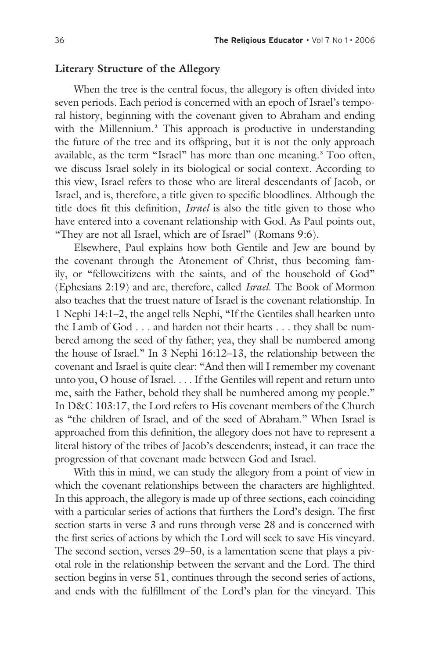#### **Literary Structure of the Allegory**

 When the tree is the central focus, the allegory is often divided into seven periods. Each period is concerned with an epoch of Israel's temporal history, beginning with the covenant given to Abraham and ending with the Millennium.**<sup>2</sup>** This approach is productive in understanding the future of the tree and its offspring, but it is not the only approach available, as the term "Israel" has more than one meaning.**<sup>3</sup>** Too often, we discuss Israel solely in its biological or social context. According to this view, Israel refers to those who are literal descendants of Jacob, or Israel, and is, therefore, a title given to specific bloodlines. Although the title does fit this definition, *Israel* is also the title given to those who have entered into a covenant relationship with God. As Paul points out, "They are not all Israel, which are of Israel" (Romans 9:6).

 Elsewhere, Paul explains how both Gentile and Jew are bound by the covenant through the Atonement of Christ, thus becoming family, or "fellowcitizens with the saints, and of the household of God" (Ephesians 2:19) and are, therefore, called *Israel*. The Book of Mormon also teaches that the truest nature of Israel is the covenant relationship. In 1 Nephi 14:1–2, the angel tells Nephi, "If the Gentiles shall hearken unto the Lamb of God . . . and harden not their hearts . . . they shall be numbered among the seed of thy father; yea, they shall be numbered among the house of Israel." In 3 Nephi 16:12–13, the relationship between the covenant and Israel is quite clear: "And then will I remember my covenant unto you, O house of Israel. . . . If the Gentiles will repent and return unto me, saith the Father, behold they shall be numbered among my people." In D&C 103:17, the Lord refers to His covenant members of the Church as "the children of Israel, and of the seed of Abraham." When Israel is approached from this definition, the allegory does not have to represent a literal history of the tribes of Jacob's descendents; instead, it can trace the progression of that covenant made between God and Israel.

 With this in mind, we can study the allegory from a point of view in which the covenant relationships between the characters are highlighted. In this approach, the allegory is made up of three sections, each coinciding with a particular series of actions that furthers the Lord's design. The first section starts in verse 3 and runs through verse 28 and is concerned with the first series of actions by which the Lord will seek to save His vineyard. The second section, verses 29–50, is a lamentation scene that plays a pivotal role in the relationship between the servant and the Lord. The third section begins in verse 51, continues through the second series of actions, and ends with the fulfillment of the Lord's plan for the vineyard. This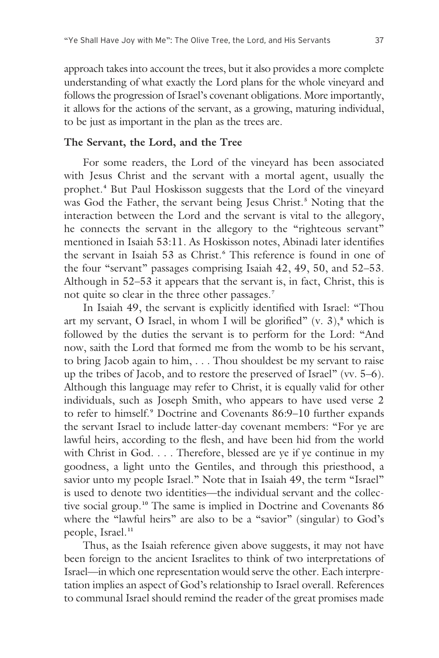approach takes into account the trees, but it also provides a more complete understanding of what exactly the Lord plans for the whole vineyard and follows the progression of Israel's covenant obligations. More importantly, it allows for the actions of the servant, as a growing, maturing individual, to be just as important in the plan as the trees are.

#### **The Servant, the Lord, and the Tree**

 For some readers, the Lord of the vineyard has been associated with Jesus Christ and the servant with a mortal agent, usually the prophet.**<sup>4</sup>** But Paul Hoskisson suggests that the Lord of the vineyard was God the Father, the servant being Jesus Christ.**<sup>5</sup>** Noting that the interaction between the Lord and the servant is vital to the allegory, he connects the servant in the allegory to the "righteous servant" mentioned in Isaiah 53:11. As Hoskisson notes, Abinadi later identifies the servant in Isaiah 53 as Christ.**<sup>6</sup>** This reference is found in one of the four "servant" passages comprising Isaiah 42, 49, 50, and 52–53. Although in 52–53 it appears that the servant is, in fact, Christ, this is not quite so clear in the three other passages.**<sup>7</sup>**

 In Isaiah 49, the servant is explicitly identified with Israel: "Thou art my servant, O Israel, in whom I will be glorified"  $(v, 3)$ , which is followed by the duties the servant is to perform for the Lord: "And now, saith the Lord that formed me from the womb to be his servant, to bring Jacob again to him, . . . Thou shouldest be my servant to raise up the tribes of Jacob, and to restore the preserved of Israel" (vv. 5–6). Although this language may refer to Christ, it is equally valid for other individuals, such as Joseph Smith, who appears to have used verse 2 to refer to himself.**9** Doctrine and Covenants 86:9–10 further expands the servant Israel to include latter-day covenant members: "For ye are lawful heirs, according to the flesh, and have been hid from the world with Christ in God. . . . Therefore, blessed are ye if ye continue in my goodness, a light unto the Gentiles, and through this priesthood, a savior unto my people Israel." Note that in Isaiah 49, the term "Israel" is used to denote two identities—the individual servant and the collective social group.**10** The same is implied in Doctrine and Covenants 86 where the "lawful heirs" are also to be a "savior" (singular) to God's people, Israel.**<sup>11</sup>**

 Thus, as the Isaiah reference given above suggests, it may not have been foreign to the ancient Israelites to think of two interpretations of Israel—in which one representation would serve the other. Each interpretation implies an aspect of God's relationship to Israel overall. References to communal Israel should remind the reader of the great promises made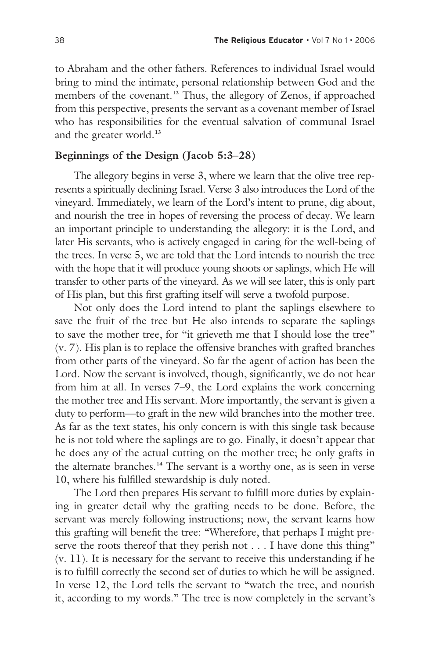to Abraham and the other fathers. References to individual Israel would bring to mind the intimate, personal relationship between God and the members of the covenant.**12** Thus, the allegory of Zenos, if approached from this perspective, presents the servant as a covenant member of Israel who has responsibilities for the eventual salvation of communal Israel and the greater world.**<sup>13</sup>**

#### **Beginnings of the Design (Jacob 5:3–28)**

 The allegory begins in verse 3, where we learn that the olive tree represents a spiritually declining Israel. Verse 3 also introduces the Lord of the vineyard. Immediately, we learn of the Lord's intent to prune, dig about, and nourish the tree in hopes of reversing the process of decay. We learn an important principle to understanding the allegory: it is the Lord, and later His servants, who is actively engaged in caring for the well-being of the trees. In verse 5, we are told that the Lord intends to nourish the tree with the hope that it will produce young shoots or saplings, which He will transfer to other parts of the vineyard. As we will see later, this is only part of His plan, but this first grafting itself will serve a twofold purpose.

 Not only does the Lord intend to plant the saplings elsewhere to save the fruit of the tree but He also intends to separate the saplings to save the mother tree, for "it grieveth me that I should lose the tree" (v. 7). His plan is to replace the offensive branches with grafted branches from other parts of the vineyard. So far the agent of action has been the Lord. Now the servant is involved, though, significantly, we do not hear from him at all. In verses 7–9, the Lord explains the work concerning the mother tree and His servant. More importantly, the servant is given a duty to perform—to graft in the new wild branches into the mother tree. As far as the text states, his only concern is with this single task because he is not told where the saplings are to go. Finally, it doesn't appear that he does any of the actual cutting on the mother tree; he only grafts in the alternate branches.**14** The servant is a worthy one, as is seen in verse 10, where his fulfilled stewardship is duly noted.

 The Lord then prepares His servant to fulfill more duties by explaining in greater detail why the grafting needs to be done. Before, the servant was merely following instructions; now, the servant learns how this grafting will benefit the tree: "Wherefore, that perhaps I might preserve the roots thereof that they perish not . . . I have done this thing" (v. 11). It is necessary for the servant to receive this understanding if he is to fulfill correctly the second set of duties to which he will be assigned. In verse 12, the Lord tells the servant to "watch the tree, and nourish it, according to my words." The tree is now completely in the servant's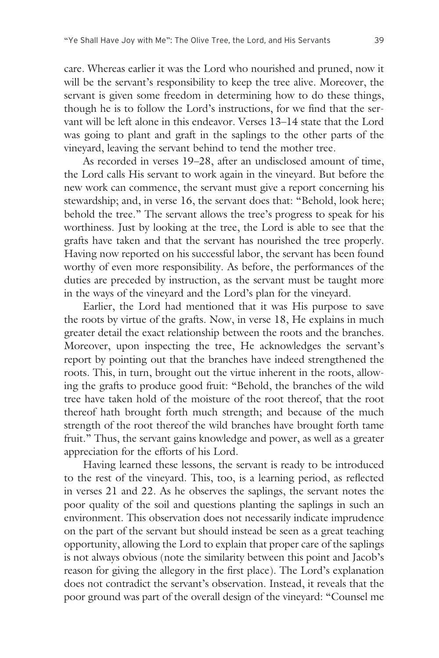care. Whereas earlier it was the Lord who nourished and pruned, now it will be the servant's responsibility to keep the tree alive. Moreover, the servant is given some freedom in determining how to do these things, though he is to follow the Lord's instructions, for we find that the servant will be left alone in this endeavor. Verses 13–14 state that the Lord was going to plant and graft in the saplings to the other parts of the vineyard, leaving the servant behind to tend the mother tree.

 As recorded in verses 19–28, after an undisclosed amount of time, the Lord calls His servant to work again in the vineyard. But before the new work can commence, the servant must give a report concerning his stewardship; and, in verse 16, the servant does that: "Behold, look here; behold the tree." The servant allows the tree's progress to speak for his worthiness. Just by looking at the tree, the Lord is able to see that the grafts have taken and that the servant has nourished the tree properly. Having now reported on his successful labor, the servant has been found worthy of even more responsibility. As before, the performances of the duties are preceded by instruction, as the servant must be taught more in the ways of the vineyard and the Lord's plan for the vineyard.

 Earlier, the Lord had mentioned that it was His purpose to save the roots by virtue of the grafts. Now, in verse 18, He explains in much greater detail the exact relationship between the roots and the branches. Moreover, upon inspecting the tree, He acknowledges the servant's report by pointing out that the branches have indeed strengthened the roots. This, in turn, brought out the virtue inherent in the roots, allowing the grafts to produce good fruit: "Behold, the branches of the wild tree have taken hold of the moisture of the root thereof, that the root thereof hath brought forth much strength; and because of the much strength of the root thereof the wild branches have brought forth tame fruit." Thus, the servant gains knowledge and power, as well as a greater appreciation for the efforts of his Lord.

 Having learned these lessons, the servant is ready to be introduced to the rest of the vineyard. This, too, is a learning period, as reflected in verses 21 and 22. As he observes the saplings, the servant notes the poor quality of the soil and questions planting the saplings in such an environment. This observation does not necessarily indicate imprudence on the part of the servant but should instead be seen as a great teaching opportunity, allowing the Lord to explain that proper care of the saplings is not always obvious (note the similarity between this point and Jacob's reason for giving the allegory in the first place). The Lord's explanation does not contradict the servant's observation. Instead, it reveals that the poor ground was part of the overall design of the vineyard: "Counsel me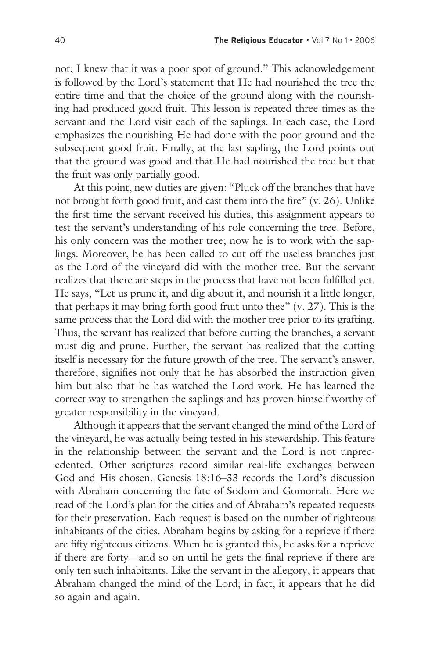not; I knew that it was a poor spot of ground." This acknowledgement is followed by the Lord's statement that He had nourished the tree the entire time and that the choice of the ground along with the nourishing had produced good fruit. This lesson is repeated three times as the servant and the Lord visit each of the saplings. In each case, the Lord emphasizes the nourishing He had done with the poor ground and the subsequent good fruit. Finally, at the last sapling, the Lord points out that the ground was good and that He had nourished the tree but that the fruit was only partially good.

 At this point, new duties are given: "Pluck off the branches that have not brought forth good fruit, and cast them into the fire" (v. 26). Unlike the first time the servant received his duties, this assignment appears to test the servant's understanding of his role concerning the tree. Before, his only concern was the mother tree; now he is to work with the saplings. Moreover, he has been called to cut off the useless branches just as the Lord of the vineyard did with the mother tree. But the servant realizes that there are steps in the process that have not been fulfilled yet. He says, "Let us prune it, and dig about it, and nourish it a little longer, that perhaps it may bring forth good fruit unto thee" (v. 27). This is the same process that the Lord did with the mother tree prior to its grafting. Thus, the servant has realized that before cutting the branches, a servant must dig and prune. Further, the servant has realized that the cutting itself is necessary for the future growth of the tree. The servant's answer, therefore, signifies not only that he has absorbed the instruction given him but also that he has watched the Lord work. He has learned the correct way to strengthen the saplings and has proven himself worthy of greater responsibility in the vineyard.

 Although it appears that the servant changed the mind of the Lord of the vineyard, he was actually being tested in his stewardship. This feature in the relationship between the servant and the Lord is not unprecedented. Other scriptures record similar real-life exchanges between God and His chosen. Genesis 18:16–33 records the Lord's discussion with Abraham concerning the fate of Sodom and Gomorrah. Here we read of the Lord's plan for the cities and of Abraham's repeated requests for their preservation. Each request is based on the number of righteous inhabitants of the cities. Abraham begins by asking for a reprieve if there are fifty righteous citizens. When he is granted this, he asks for a reprieve if there are forty—and so on until he gets the final reprieve if there are only ten such inhabitants. Like the servant in the allegory, it appears that Abraham changed the mind of the Lord; in fact, it appears that he did so again and again.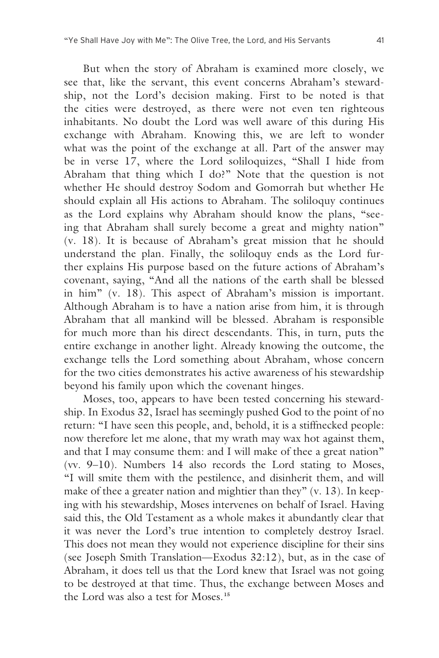But when the story of Abraham is examined more closely, we see that, like the servant, this event concerns Abraham's stewardship, not the Lord's decision making. First to be noted is that the cities were destroyed, as there were not even ten righteous inhabitants. No doubt the Lord was well aware of this during His exchange with Abraham. Knowing this, we are left to wonder what was the point of the exchange at all. Part of the answer may be in verse 17, where the Lord soliloquizes, "Shall I hide from Abraham that thing which I do?" Note that the question is not whether He should destroy Sodom and Gomorrah but whether He should explain all His actions to Abraham. The soliloquy continues as the Lord explains why Abraham should know the plans, "seeing that Abraham shall surely become a great and mighty nation" (v. 18). It is because of Abraham's great mission that he should understand the plan. Finally, the soliloquy ends as the Lord further explains His purpose based on the future actions of Abraham's covenant, saying, "And all the nations of the earth shall be blessed in him" (v. 18). This aspect of Abraham's mission is important. Although Abraham is to have a nation arise from him, it is through Abraham that all mankind will be blessed. Abraham is responsible for much more than his direct descendants. This, in turn, puts the entire exchange in another light. Already knowing the outcome, the exchange tells the Lord something about Abraham, whose concern for the two cities demonstrates his active awareness of his stewardship beyond his family upon which the covenant hinges.

 Moses, too, appears to have been tested concerning his stewardship. In Exodus 32, Israel has seemingly pushed God to the point of no return: "I have seen this people, and, behold, it is a stiffnecked people: now therefore let me alone, that my wrath may wax hot against them, and that I may consume them: and I will make of thee a great nation" (vv. 9–10). Numbers 14 also records the Lord stating to Moses, "I will smite them with the pestilence, and disinherit them, and will make of thee a greater nation and mightier than they" (v. 13). In keeping with his stewardship, Moses intervenes on behalf of Israel. Having said this, the Old Testament as a whole makes it abundantly clear that it was never the Lord's true intention to completely destroy Israel. This does not mean they would not experience discipline for their sins (see Joseph Smith Translation—Exodus 32:12), but, as in the case of Abraham, it does tell us that the Lord knew that Israel was not going to be destroyed at that time. Thus, the exchange between Moses and the Lord was also a test for Moses.**<sup>15</sup>**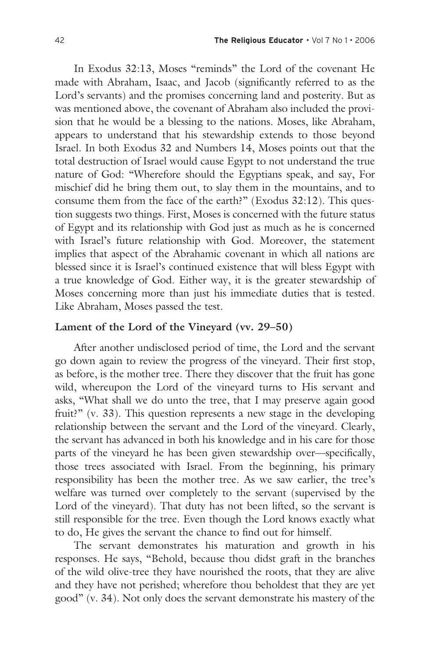In Exodus 32:13, Moses "reminds" the Lord of the covenant He made with Abraham, Isaac, and Jacob (significantly referred to as the Lord's servants) and the promises concerning land and posterity. But as was mentioned above, the covenant of Abraham also included the provision that he would be a blessing to the nations. Moses, like Abraham, appears to understand that his stewardship extends to those beyond Israel. In both Exodus 32 and Numbers 14, Moses points out that the total destruction of Israel would cause Egypt to not understand the true nature of God: "Wherefore should the Egyptians speak, and say, For mischief did he bring them out, to slay them in the mountains, and to consume them from the face of the earth?" (Exodus 32:12). This question suggests two things. First, Moses is concerned with the future status of Egypt and its relationship with God just as much as he is concerned with Israel's future relationship with God. Moreover, the statement implies that aspect of the Abrahamic covenant in which all nations are blessed since it is Israel's continued existence that will bless Egypt with a true knowledge of God. Either way, it is the greater stewardship of Moses concerning more than just his immediate duties that is tested. Like Abraham, Moses passed the test.

#### **Lament of the Lord of the Vineyard (vv. 29–50)**

 After another undisclosed period of time, the Lord and the servant go down again to review the progress of the vineyard. Their first stop, as before, is the mother tree. There they discover that the fruit has gone wild, whereupon the Lord of the vineyard turns to His servant and asks, "What shall we do unto the tree, that I may preserve again good fruit?" (v. 33). This question represents a new stage in the developing relationship between the servant and the Lord of the vineyard. Clearly, the servant has advanced in both his knowledge and in his care for those parts of the vineyard he has been given stewardship over—specifically, those trees associated with Israel. From the beginning, his primary responsibility has been the mother tree. As we saw earlier, the tree's welfare was turned over completely to the servant (supervised by the Lord of the vineyard). That duty has not been lifted, so the servant is still responsible for the tree. Even though the Lord knows exactly what to do, He gives the servant the chance to find out for himself.

 The servant demonstrates his maturation and growth in his responses. He says, "Behold, because thou didst graft in the branches of the wild olive-tree they have nourished the roots, that they are alive and they have not perished; wherefore thou beholdest that they are yet good" (v. 34). Not only does the servant demonstrate his mastery of the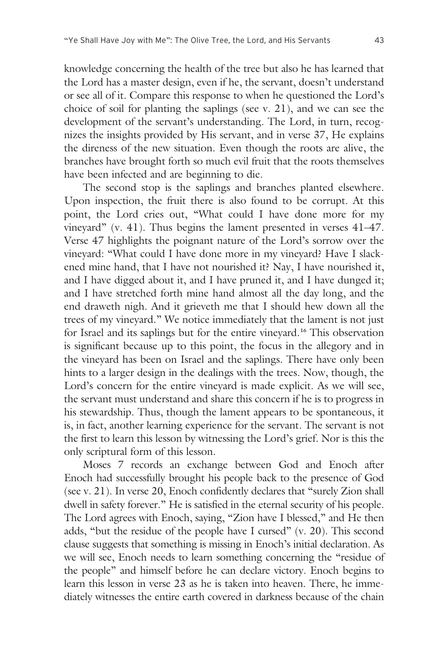knowledge concerning the health of the tree but also he has learned that the Lord has a master design, even if he, the servant, doesn't understand or see all of it. Compare this response to when he questioned the Lord's choice of soil for planting the saplings (see v. 21), and we can see the development of the servant's understanding. The Lord, in turn, recognizes the insights provided by His servant, and in verse 37, He explains the direness of the new situation. Even though the roots are alive, the branches have brought forth so much evil fruit that the roots themselves have been infected and are beginning to die.

 The second stop is the saplings and branches planted elsewhere. Upon inspection, the fruit there is also found to be corrupt. At this point, the Lord cries out, "What could I have done more for my vineyard" (v. 41). Thus begins the lament presented in verses 41–47. Verse 47 highlights the poignant nature of the Lord's sorrow over the vineyard: "What could I have done more in my vineyard? Have I slackened mine hand, that I have not nourished it? Nay, I have nourished it, and I have digged about it, and I have pruned it, and I have dunged it; and I have stretched forth mine hand almost all the day long, and the end draweth nigh. And it grieveth me that I should hew down all the trees of my vineyard." We notice immediately that the lament is not just for Israel and its saplings but for the entire vineyard.**16** This observation is significant because up to this point, the focus in the allegory and in the vineyard has been on Israel and the saplings. There have only been hints to a larger design in the dealings with the trees. Now, though, the Lord's concern for the entire vineyard is made explicit. As we will see, the servant must understand and share this concern if he is to progress in his stewardship. Thus, though the lament appears to be spontaneous, it is, in fact, another learning experience for the servant. The servant is not the first to learn this lesson by witnessing the Lord's grief. Nor is this the only scriptural form of this lesson.

 Moses 7 records an exchange between God and Enoch after Enoch had successfully brought his people back to the presence of God (see v. 21). In verse 20, Enoch confidently declares that "surely Zion shall dwell in safety forever." He is satisfied in the eternal security of his people. The Lord agrees with Enoch, saying, "Zion have I blessed," and He then adds, "but the residue of the people have I cursed" (v. 20). This second clause suggests that something is missing in Enoch's initial declaration. As we will see, Enoch needs to learn something concerning the "residue of the people" and himself before he can declare victory. Enoch begins to learn this lesson in verse 23 as he is taken into heaven. There, he immediately witnesses the entire earth covered in darkness because of the chain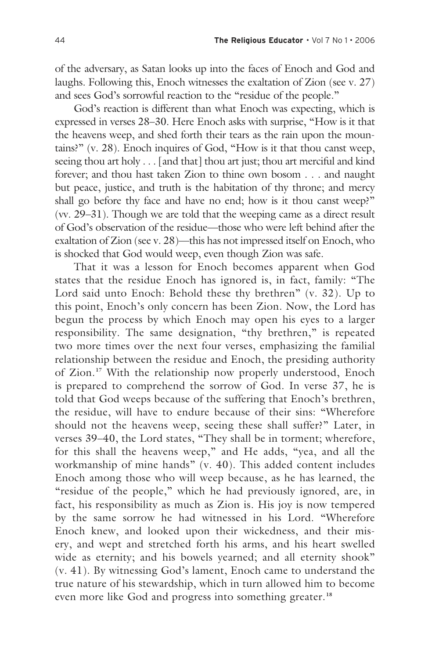of the adversary, as Satan looks up into the faces of Enoch and God and laughs. Following this, Enoch witnesses the exaltation of Zion (see v. 27) and sees God's sorrowful reaction to the "residue of the people."

 God's reaction is different than what Enoch was expecting, which is expressed in verses 28–30. Here Enoch asks with surprise, "How is it that the heavens weep, and shed forth their tears as the rain upon the mountains?" (v. 28). Enoch inquires of God, "How is it that thou canst weep, seeing thou art holy . . . [and that] thou art just; thou art merciful and kind forever; and thou hast taken Zion to thine own bosom . . . and naught but peace, justice, and truth is the habitation of thy throne; and mercy shall go before thy face and have no end; how is it thou canst weep?" (vv. 29–31). Though we are told that the weeping came as a direct result of God's observation of the residue—those who were left behind after the exaltation of Zion (see v. 28)—this has not impressed itself on Enoch, who is shocked that God would weep, even though Zion was safe.

 That it was a lesson for Enoch becomes apparent when God states that the residue Enoch has ignored is, in fact, family: "The Lord said unto Enoch: Behold these thy brethren" (v. 32). Up to this point, Enoch's only concern has been Zion. Now, the Lord has begun the process by which Enoch may open his eyes to a larger responsibility. The same designation, "thy brethren," is repeated two more times over the next four verses, emphasizing the familial relationship between the residue and Enoch, the presiding authority of Zion.**17** With the relationship now properly understood, Enoch is prepared to comprehend the sorrow of God. In verse 37, he is told that God weeps because of the suffering that Enoch's brethren, the residue, will have to endure because of their sins: "Wherefore should not the heavens weep, seeing these shall suffer?" Later, in verses 39–40, the Lord states, "They shall be in torment; wherefore, for this shall the heavens weep," and He adds, "yea, and all the workmanship of mine hands" (v. 40). This added content includes Enoch among those who will weep because, as he has learned, the "residue of the people," which he had previously ignored, are, in fact, his responsibility as much as Zion is. His joy is now tempered by the same sorrow he had witnessed in his Lord. "Wherefore Enoch knew, and looked upon their wickedness, and their misery, and wept and stretched forth his arms, and his heart swelled wide as eternity; and his bowels yearned; and all eternity shook" (v. 41). By witnessing God's lament, Enoch came to understand the true nature of his stewardship, which in turn allowed him to become even more like God and progress into something greater.**<sup>18</sup>**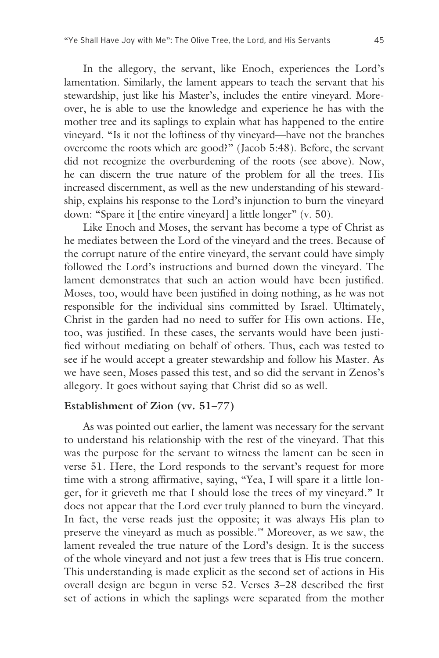In the allegory, the servant, like Enoch, experiences the Lord's lamentation. Similarly, the lament appears to teach the servant that his stewardship, just like his Master's, includes the entire vineyard. Moreover, he is able to use the knowledge and experience he has with the mother tree and its saplings to explain what has happened to the entire vineyard. "Is it not the loftiness of thy vineyard—have not the branches overcome the roots which are good?" (Jacob 5:48). Before, the servant did not recognize the overburdening of the roots (see above). Now, he can discern the true nature of the problem for all the trees. His increased discernment, as well as the new understanding of his stewardship, explains his response to the Lord's injunction to burn the vineyard down: "Spare it [the entire vineyard] a little longer" (v. 50).

 Like Enoch and Moses, the servant has become a type of Christ as he mediates between the Lord of the vineyard and the trees. Because of the corrupt nature of the entire vineyard, the servant could have simply followed the Lord's instructions and burned down the vineyard. The lament demonstrates that such an action would have been justified. Moses, too, would have been justified in doing nothing, as he was not responsible for the individual sins committed by Israel. Ultimately, Christ in the garden had no need to suffer for His own actions. He, too, was justified. In these cases, the servants would have been justified without mediating on behalf of others. Thus, each was tested to see if he would accept a greater stewardship and follow his Master. As we have seen, Moses passed this test, and so did the servant in Zenos's allegory. It goes without saying that Christ did so as well.

#### **Establishment of Zion (vv. 51–77)**

 As was pointed out earlier, the lament was necessary for the servant to understand his relationship with the rest of the vineyard. That this was the purpose for the servant to witness the lament can be seen in verse 51. Here, the Lord responds to the servant's request for more time with a strong affirmative, saying, "Yea, I will spare it a little longer, for it grieveth me that I should lose the trees of my vineyard." It does not appear that the Lord ever truly planned to burn the vineyard. In fact, the verse reads just the opposite; it was always His plan to preserve the vineyard as much as possible.**19** Moreover, as we saw, the lament revealed the true nature of the Lord's design. It is the success of the whole vineyard and not just a few trees that is His true concern. This understanding is made explicit as the second set of actions in His overall design are begun in verse 52. Verses 3–28 described the first set of actions in which the saplings were separated from the mother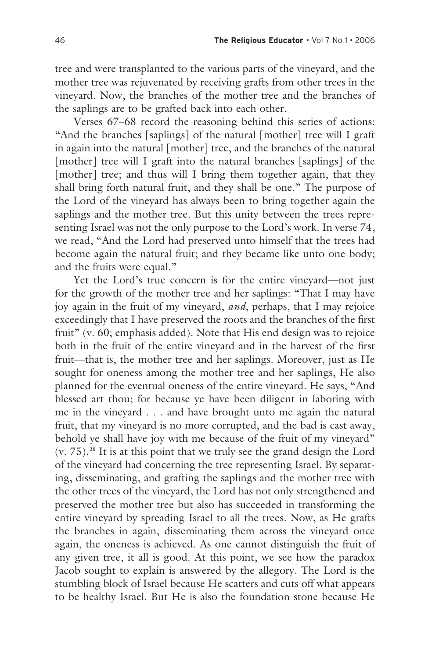tree and were transplanted to the various parts of the vineyard, and the mother tree was rejuvenated by receiving grafts from other trees in the vineyard. Now, the branches of the mother tree and the branches of the saplings are to be grafted back into each other.

 Verses 67–68 record the reasoning behind this series of actions: "And the branches [saplings] of the natural [mother] tree will I graft in again into the natural [mother] tree, and the branches of the natural [mother] tree will I graft into the natural branches [saplings] of the [mother] tree; and thus will I bring them together again, that they shall bring forth natural fruit, and they shall be one." The purpose of the Lord of the vineyard has always been to bring together again the saplings and the mother tree. But this unity between the trees representing Israel was not the only purpose to the Lord's work. In verse 74, we read, "And the Lord had preserved unto himself that the trees had become again the natural fruit; and they became like unto one body; and the fruits were equal."

 Yet the Lord's true concern is for the entire vineyard—not just for the growth of the mother tree and her saplings: "That I may have joy again in the fruit of my vineyard, *and*, perhaps, that I may rejoice exceedingly that I have preserved the roots and the branches of the first fruit" (v. 60; emphasis added). Note that His end design was to rejoice both in the fruit of the entire vineyard and in the harvest of the first fruit—that is, the mother tree and her saplings. Moreover, just as He sought for oneness among the mother tree and her saplings, He also planned for the eventual oneness of the entire vineyard. He says, "And blessed art thou; for because ye have been diligent in laboring with me in the vineyard . . . and have brought unto me again the natural fruit, that my vineyard is no more corrupted, and the bad is cast away, behold ye shall have joy with me because of the fruit of my vineyard" (v. 75).**20** It is at this point that we truly see the grand design the Lord of the vineyard had concerning the tree representing Israel. By separating, disseminating, and grafting the saplings and the mother tree with the other trees of the vineyard, the Lord has not only strengthened and preserved the mother tree but also has succeeded in transforming the entire vineyard by spreading Israel to all the trees. Now, as He grafts the branches in again, disseminating them across the vineyard once again, the oneness is achieved. As one cannot distinguish the fruit of any given tree, it all is good. At this point, we see how the paradox Jacob sought to explain is answered by the allegory. The Lord is the stumbling block of Israel because He scatters and cuts off what appears to be healthy Israel. But He is also the foundation stone because He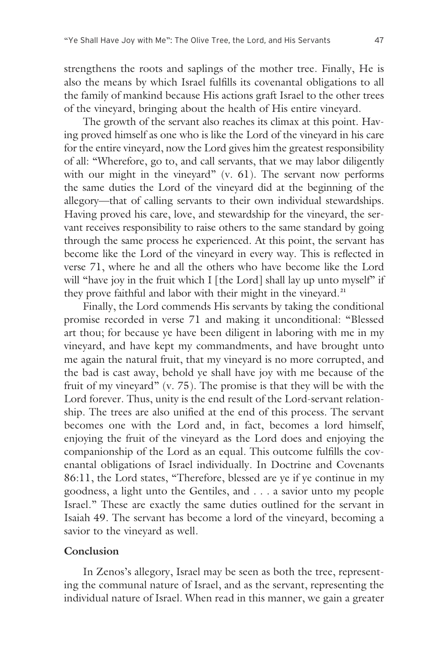strengthens the roots and saplings of the mother tree. Finally, He is also the means by which Israel fulfills its covenantal obligations to all the family of mankind because His actions graft Israel to the other trees of the vineyard, bringing about the health of His entire vineyard.

 The growth of the servant also reaches its climax at this point. Having proved himself as one who is like the Lord of the vineyard in his care for the entire vineyard, now the Lord gives him the greatest responsibility of all: "Wherefore, go to, and call servants, that we may labor diligently with our might in the vineyard" (v. 61). The servant now performs the same duties the Lord of the vineyard did at the beginning of the allegory—that of calling servants to their own individual stewardships. Having proved his care, love, and stewardship for the vineyard, the servant receives responsibility to raise others to the same standard by going through the same process he experienced. At this point, the servant has become like the Lord of the vineyard in every way. This is reflected in verse 71, where he and all the others who have become like the Lord will "have joy in the fruit which I [the Lord] shall lay up unto myself" if they prove faithful and labor with their might in the vineyard.**<sup>21</sup>**

 Finally, the Lord commends His servants by taking the conditional promise recorded in verse 71 and making it unconditional: "Blessed art thou; for because ye have been diligent in laboring with me in my vineyard, and have kept my commandments, and have brought unto me again the natural fruit, that my vineyard is no more corrupted, and the bad is cast away, behold ye shall have joy with me because of the fruit of my vineyard" (v. 75). The promise is that they will be with the Lord forever. Thus, unity is the end result of the Lord-servant relationship. The trees are also unified at the end of this process. The servant becomes one with the Lord and, in fact, becomes a lord himself, enjoying the fruit of the vineyard as the Lord does and enjoying the companionship of the Lord as an equal. This outcome fulfills the covenantal obligations of Israel individually. In Doctrine and Covenants 86:11, the Lord states, "Therefore, blessed are ye if ye continue in my goodness, a light unto the Gentiles, and . . . a savior unto my people Israel." These are exactly the same duties outlined for the servant in Isaiah 49. The servant has become a lord of the vineyard, becoming a savior to the vineyard as well.

#### **Conclusion**

 In Zenos's allegory, Israel may be seen as both the tree, representing the communal nature of Israel, and as the servant, representing the individual nature of Israel. When read in this manner, we gain a greater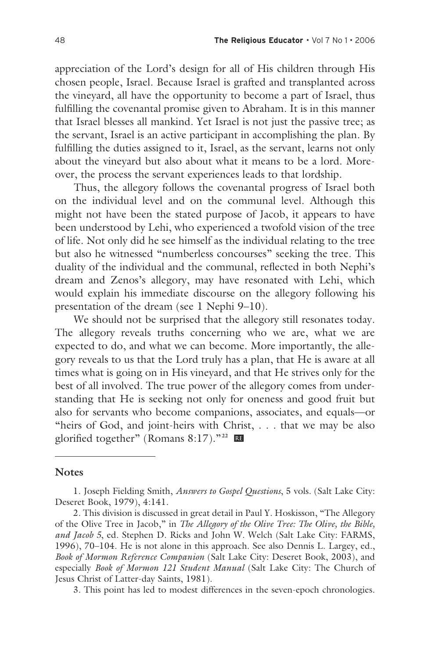appreciation of the Lord's design for all of His children through His chosen people, Israel. Because Israel is grafted and transplanted across the vineyard, all have the opportunity to become a part of Israel, thus fulfilling the covenantal promise given to Abraham. It is in this manner that Israel blesses all mankind. Yet Israel is not just the passive tree; as the servant, Israel is an active participant in accomplishing the plan. By fulfilling the duties assigned to it, Israel, as the servant, learns not only about the vineyard but also about what it means to be a lord. Moreover, the process the servant experiences leads to that lordship.

 Thus, the allegory follows the covenantal progress of Israel both on the individual level and on the communal level. Although this might not have been the stated purpose of Jacob, it appears to have been understood by Lehi, who experienced a twofold vision of the tree of life. Not only did he see himself as the individual relating to the tree but also he witnessed "numberless concourses" seeking the tree. This duality of the individual and the communal, reflected in both Nephi's dream and Zenos's allegory, may have resonated with Lehi, which would explain his immediate discourse on the allegory following his presentation of the dream (see 1 Nephi 9–10).

 We should not be surprised that the allegory still resonates today. The allegory reveals truths concerning who we are, what we are expected to do, and what we can become. More importantly, the allegory reveals to us that the Lord truly has a plan, that He is aware at all times what is going on in His vineyard, and that He strives only for the best of all involved. The true power of the allegory comes from understanding that He is seeking not only for oneness and good fruit but also for servants who become companions, associates, and equals—or "heirs of God, and joint-heirs with Christ, . . . that we may be also glorified together" (Romans 8:17)."**22** œ

#### **Notes**

3. This point has led to modest differences in the seven-epoch chronologies.

<sup>1.</sup> Joseph Fielding Smith, *Answers to Gospel Questions*, 5 vols. (Salt Lake City: Deseret Book, 1979), 4:141.

<sup>2.</sup> This division is discussed in great detail in Paul Y. Hoskisson, "The Allegory of the Olive Tree in Jacob," in *The Allegory of the Olive Tree: The Olive, the Bible, and Jacob 5*, ed. Stephen D. Ricks and John W. Welch (Salt Lake City: FARMS, 1996), 70–104. He is not alone in this approach. See also Dennis L. Largey, ed., *Book of Mormon Reference Companion* (Salt Lake City: Deseret Book, 2003), and especially *Book of Mormon 121 Student Manual* (Salt Lake City: The Church of Jesus Christ of Latter-day Saints, 1981).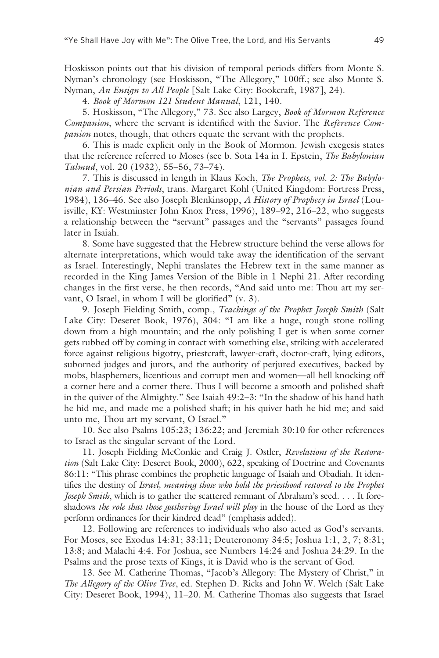Hoskisson points out that his division of temporal periods differs from Monte S. Nyman's chronology (see Hoskisson, "The Allegory," 100ff.; see also Monte S. Nyman, *An Ensign to All People* [Salt Lake City: Bookcraft, 1987], 24).

4. *Book of Mormon 121 Student Manual*, 121, 140.

5. Hoskisson, "The Allegory," 73. See also Largey, *Book of Mormon Reference Companion*, where the servant is identified with the Savior. The *Reference Companion* notes, though, that others equate the servant with the prophets.

6. This is made explicit only in the Book of Mormon. Jewish exegesis states that the reference referred to Moses (see b. Sota 14a in I. Epstein, *The Babylonian Talmud*, vol. 20 (1932), 55–56, 73–74).

7. This is discussed in length in Klaus Koch, *The Prophets, vol. 2: The Babylonian and Persian Periods*, trans. Margaret Kohl (United Kingdom: Fortress Press, 1984), 136–46. See also Joseph Blenkinsopp, *A History of Prophecy in Israel* (Louisville, KY: Westminster John Knox Press, 1996), 189–92, 216–22, who suggests a relationship between the "servant" passages and the "servants" passages found later in Isaiah.

8. Some have suggested that the Hebrew structure behind the verse allows for alternate interpretations, which would take away the identification of the servant as Israel. Interestingly, Nephi translates the Hebrew text in the same manner as recorded in the King James Version of the Bible in 1 Nephi 21. After recording changes in the first verse, he then records, "And said unto me: Thou art my servant, O Israel, in whom I will be glorified" (v. 3).

9. Joseph Fielding Smith, comp., *Teachings of the Prophet Joseph Smith* (Salt Lake City: Deseret Book, 1976), 304: "I am like a huge, rough stone rolling down from a high mountain; and the only polishing I get is when some corner gets rubbed off by coming in contact with something else, striking with accelerated force against religious bigotry, priestcraft, lawyer-craft, doctor-craft, lying editors, suborned judges and jurors, and the authority of perjured executives, backed by mobs, blasphemers, licentious and corrupt men and women—all hell knocking off a corner here and a corner there. Thus I will become a smooth and polished shaft in the quiver of the Almighty." See Isaiah 49:2–3: "In the shadow of his hand hath he hid me, and made me a polished shaft; in his quiver hath he hid me; and said unto me, Thou art my servant, O Israel."

10. See also Psalms 105:23; 136:22; and Jeremiah 30:10 for other references to Israel as the singular servant of the Lord.

11. Joseph Fielding McConkie and Craig J. Ostler, *Revelations of the Restoration* (Salt Lake City: Deseret Book, 2000), 622, speaking of Doctrine and Covenants 86:11: "This phrase combines the prophetic language of Isaiah and Obadiah. It identifies the destiny of *Israel, meaning those who hold the priesthood restored to the Prophet Joseph Smith*, which is to gather the scattered remnant of Abraham's seed. . . . It foreshadows *the role that those gathering Israel will play* in the house of the Lord as they perform ordinances for their kindred dead" (emphasis added).

12. Following are references to individuals who also acted as God's servants. For Moses, see Exodus 14:31; 33:11; Deuteronomy 34:5; Joshua 1:1, 2, 7; 8:31; 13:8; and Malachi 4:4. For Joshua, see Numbers 14:24 and Joshua 24:29. In the Psalms and the prose texts of Kings, it is David who is the servant of God.

13. See M. Catherine Thomas, "Jacob's Allegory: The Mystery of Christ," in *The Allegory of the Olive Tree*, ed. Stephen D. Ricks and John W. Welch (Salt Lake City: Deseret Book, 1994), 11–20. M. Catherine Thomas also suggests that Israel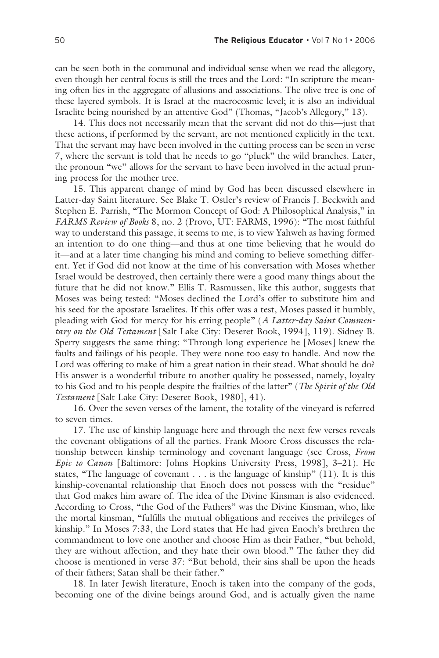can be seen both in the communal and individual sense when we read the allegory, even though her central focus is still the trees and the Lord: "In scripture the meaning often lies in the aggregate of allusions and associations. The olive tree is one of these layered symbols. It is Israel at the macrocosmic level; it is also an individual Israelite being nourished by an attentive God" (Thomas, "Jacob's Allegory," 13).

14. This does not necessarily mean that the servant did not do this—just that these actions, if performed by the servant, are not mentioned explicitly in the text. That the servant may have been involved in the cutting process can be seen in verse 7, where the servant is told that he needs to go "pluck" the wild branches. Later, the pronoun "we" allows for the servant to have been involved in the actual pruning process for the mother tree.

15. This apparent change of mind by God has been discussed elsewhere in Latter-day Saint literature. See Blake T. Ostler's review of Francis J. Beckwith and Stephen E. Parrish, "The Mormon Concept of God: A Philosophical Analysis," in *FARMS Review of Books* 8, no. 2 (Provo, UT: FARMS, 1996): "The most faithful way to understand this passage, it seems to me, is to view Yahweh as having formed an intention to do one thing—and thus at one time believing that he would do it—and at a later time changing his mind and coming to believe something different. Yet if God did not know at the time of his conversation with Moses whether Israel would be destroyed, then certainly there were a good many things about the future that he did not know." Ellis T. Rasmussen, like this author, suggests that Moses was being tested: "Moses declined the Lord's offer to substitute him and his seed for the apostate Israelites. If this offer was a test, Moses passed it humbly, pleading with God for mercy for his erring people" (*A Latter-day Saint Commentary on the Old Testament* [Salt Lake City: Deseret Book, 1994], 119). Sidney B. Sperry suggests the same thing: "Through long experience he [Moses] knew the faults and failings of his people. They were none too easy to handle. And now the Lord was offering to make of him a great nation in their stead. What should he do? His answer is a wonderful tribute to another quality he possessed, namely, loyalty to his God and to his people despite the frailties of the latter" (*The Spirit of the Old Testament* [Salt Lake City: Deseret Book, 1980], 41).

16. Over the seven verses of the lament, the totality of the vineyard is referred to seven times.

17. The use of kinship language here and through the next few verses reveals the covenant obligations of all the parties. Frank Moore Cross discusses the relationship between kinship terminology and covenant language (see Cross, *From Epic to Canon* [Baltimore: Johns Hopkins University Press, 1998], 3–21). He states, "The language of covenant . . . is the language of kinship" (11). It is this kinship-covenantal relationship that Enoch does not possess with the "residue" that God makes him aware of. The idea of the Divine Kinsman is also evidenced. According to Cross, "the God of the Fathers" was the Divine Kinsman, who, like the mortal kinsman, "fulfills the mutual obligations and receives the privileges of kinship." In Moses 7:33, the Lord states that He had given Enoch's brethren the commandment to love one another and choose Him as their Father, "but behold, they are without affection, and they hate their own blood." The father they did choose is mentioned in verse 37: "But behold, their sins shall be upon the heads of their fathers; Satan shall be their father."

18. In later Jewish literature, Enoch is taken into the company of the gods, becoming one of the divine beings around God, and is actually given the name